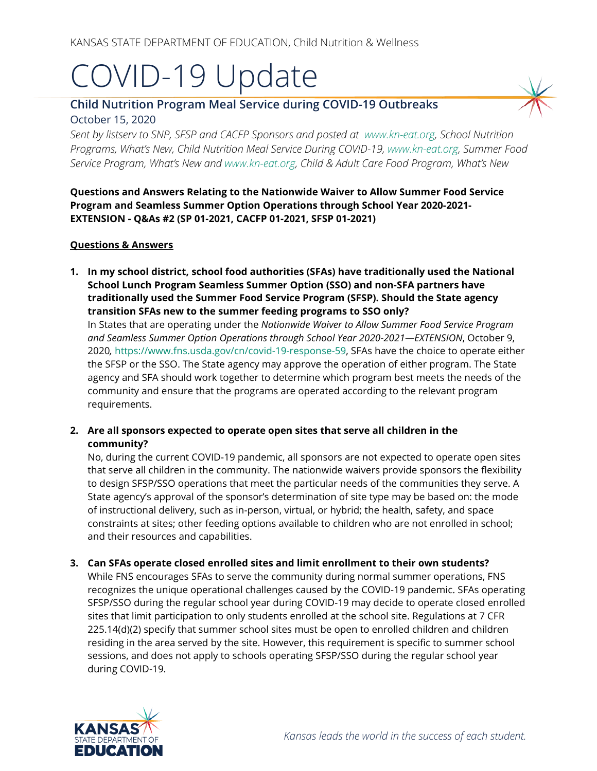# COVID-19 Update

# **Child Nutrition Program Meal Service during COVID-19 Outbreaks** October 15, 2020

*Sent by listserv to SNP, SFSP and CACFP Sponsors and posted at [www.kn-eat.org,](http://www.kn-eat.org/) School Nutrition Programs, What's New, Child Nutrition Meal Service During COVID-19, [www.kn-eat.org,](http://www.kn-eat.org/) Summer Food Service Program, What's New and [www.kn-eat.org,](http://www.kn-eat.org/) Child & Adult Care Food Program, What's New* 

**Questions and Answers Relating to the Nationwide Waiver to Allow Summer Food Service Program and Seamless Summer Option Operations through School Year 2020-2021- EXTENSION - Q&As #2 (SP 01-2021, CACFP 01-2021, SFSP 01-2021)**

#### **Questions & Answers**

**1. In my school district, school food authorities (SFAs) have traditionally used the National School Lunch Program Seamless Summer Option (SSO) and non-SFA partners have traditionally used the Summer Food Service Program (SFSP). Should the State agency transition SFAs new to the summer feeding programs to SSO only?**

In States that are operating under the *Nationwide Waiver to Allow Summer Food Service Program and Seamless Summer Option Operations through School Year 2020-2021—EXTENSION*, October 9, 2020*,* [https://www.fns.usda.gov/cn/covid-19-response-59,](https://www.fns.usda.gov/cn/covid-19-response-59) SFAs have the choice to operate either the SFSP or the SSO. The State agency may approve the operation of either program. The State agency and SFA should work together to determine which program best meets the needs of the community and ensure that the programs are operated according to the relevant program requirements.

**2. Are all sponsors expected to operate open sites that serve all children in the community?**

No, during the current COVID-19 pandemic, all sponsors are not expected to operate open sites that serve all children in the community. The nationwide waivers provide sponsors the flexibility to design SFSP/SSO operations that meet the particular needs of the communities they serve. A State agency's approval of the sponsor's determination of site type may be based on: the mode of instructional delivery, such as in-person, virtual, or hybrid; the health, safety, and space constraints at sites; other feeding options available to children who are not enrolled in school; and their resources and capabilities.

**3. Can SFAs operate closed enrolled sites and limit enrollment to their own students?**

While FNS encourages SFAs to serve the community during normal summer operations, FNS recognizes the unique operational challenges caused by the COVID-19 pandemic. SFAs operating SFSP/SSO during the regular school year during COVID-19 may decide to operate closed enrolled sites that limit participation to only students enrolled at the school site. Regulations at 7 CFR 225.14(d)(2) specify that summer school sites must be open to enrolled children and children residing in the area served by the site. However, this requirement is specific to summer school sessions, and does not apply to schools operating SFSP/SSO during the regular school year during COVID-19.

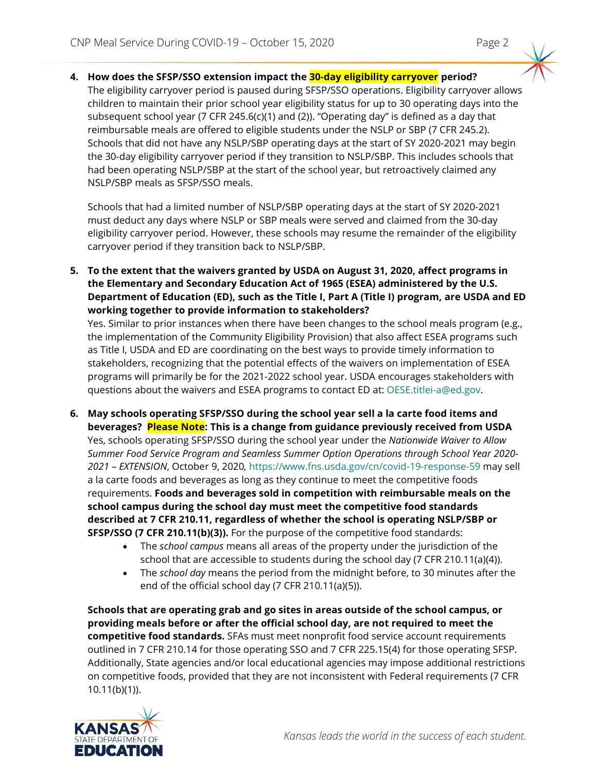**4. How does the SFSP/SSO extension impact the 30-day eligibility carryover period?** The eligibility carryover period is paused during SFSP/SSO operations. Eligibility carryover allows children to maintain their prior school year eligibility status for up to 30 operating days into the subsequent school year (7 CFR 245.6(c)(1) and (2)). "Operating day" is defined as a day that reimbursable meals are offered to eligible students under the NSLP or SBP (7 CFR 245.2). Schools that did not have any NSLP/SBP operating days at the start of SY 2020-2021 may begin the 30-day eligibility carryover period if they transition to NSLP/SBP. This includes schools that had been operating NSLP/SBP at the start of the school year, but retroactively claimed any NSLP/SBP meals as SFSP/SSO meals.

Schools that had a limited number of NSLP/SBP operating days at the start of SY 2020-2021 must deduct any days where NSLP or SBP meals were served and claimed from the 30-day eligibility carryover period. However, these schools may resume the remainder of the eligibility carryover period if they transition back to NSLP/SBP.

**5. To the extent that the waivers granted by USDA on August 31, 2020, affect programs in the Elementary and Secondary Education Act of 1965 (ESEA) administered by the U.S. Department of Education (ED), such as the Title I, Part A (Title I) program, are USDA and ED working together to provide information to stakeholders?**

Yes. Similar to prior instances when there have been changes to the school meals program (e.g., the implementation of the Community Eligibility Provision) that also affect ESEA programs such as Title I, USDA and ED are coordinating on the best ways to provide timely information to stakeholders, recognizing that the potential effects of the waivers on implementation of ESEA programs will primarily be for the 2021-2022 school year. USDA encourages stakeholders with questions about the waivers and ESEA programs to contact ED at: [OESE.titlei-a@ed.gov.](mailto:OESE.titlei-a@ed.gov)

- **6. May schools operating SFSP/SSO during the school year sell a la carte food items and beverages? Please Note: This is a change from guidance previously received from USDA** Yes, schools operating SFSP/SSO during the school year under the *Nationwide Waiver to Allow Summer Food Service Program and Seamless Summer Option Operations through School Year 2020- 2021 – EXTENSION*, October 9, 2020*,* <https://www.fns.usda.gov/cn/covid-19-response-59> may sell a la carte foods and beverages as long as they continue to meet the competitive foods requirements. **Foods and beverages sold in competition with reimbursable meals on the school campus during the school day must meet the competitive food standards described at 7 CFR 210.11, regardless of whether the school is operating NSLP/SBP or SFSP/SSO (7 CFR 210.11(b)(3)).** For the purpose of the competitive food standards:
	- The *school campus* means all areas of the property under the jurisdiction of the school that are accessible to students during the school day (7 CFR 210.11(a)(4)).
	- The *school day* means the period from the midnight before, to 30 minutes after the end of the official school day (7 CFR 210.11(a)(5)).

**Schools that are operating grab and go sites in areas outside of the school campus, or providing meals before or after the official school day, are not required to meet the competitive food standards.** SFAs must meet nonprofit food service account requirements outlined in 7 CFR 210.14 for those operating SSO and 7 CFR 225.15(4) for those operating SFSP. Additionally, State agencies and/or local educational agencies may impose additional restrictions on competitive foods, provided that they are not inconsistent with Federal requirements (7 CFR 10.11(b)(1)).

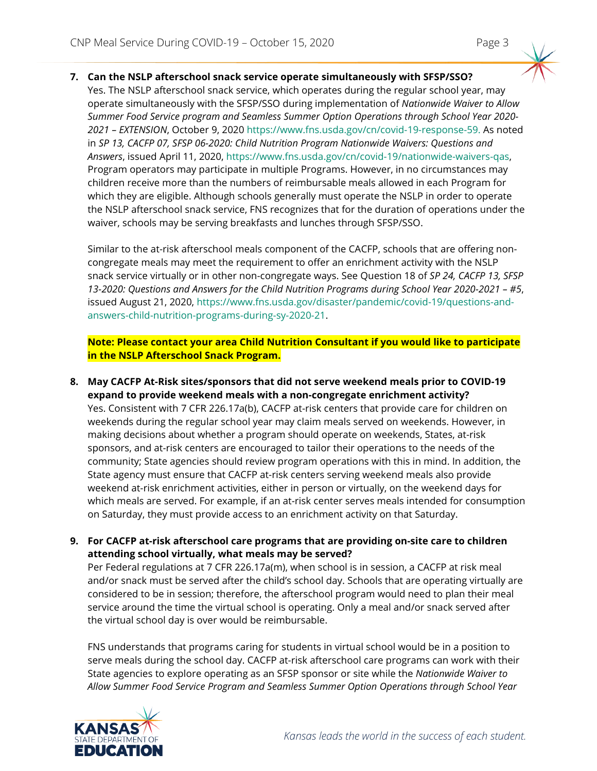#### **7. Can the NSLP afterschool snack service operate simultaneously with SFSP/SSO?**

Yes. The NSLP afterschool snack service, which operates during the regular school year, may operate simultaneously with the SFSP/SSO during implementation of *Nationwide Waiver to Allow Summer Food Service program and Seamless Summer Option Operations through School Year 2020- 2021 – EXTENSION*, October 9, 2020<https://www.fns.usda.gov/cn/covid-19-response-59.> As noted in *SP 13, CACFP 07, SFSP 06-2020: Child Nutrition Program Nationwide Waivers: Questions and Answers*, issued April 11, 2020, [https://www.fns.usda.gov/cn/covid-19/nationwide-waivers-qas,](https://www.fns.usda.gov/cn/covid-19/nationwide-waivers-qas) Program operators may participate in multiple Programs. However, in no circumstances may children receive more than the numbers of reimbursable meals allowed in each Program for which they are eligible. Although schools generally must operate the NSLP in order to operate the NSLP afterschool snack service, FNS recognizes that for the duration of operations under the waiver, schools may be serving breakfasts and lunches through SFSP/SSO.

Similar to the at-risk afterschool meals component of the CACFP, schools that are offering noncongregate meals may meet the requirement to offer an enrichment activity with the NSLP snack service virtually or in other non-congregate ways. See Question 18 of *SP 24, CACFP 13, SFSP 13-2020: Questions and Answers for the Child Nutrition Programs during School Year 2020-2021 – #5*, issued August 21, 2020, [https://www.fns.usda.gov/disaster/pandemic/covid-19/questions-and](https://www.fns.usda.gov/disaster/pandemic/covid-19/questions-and-answers-child-nutrition-programs-during-sy-2020-21)[answers-child-nutrition-programs-during-sy-2020-21.](https://www.fns.usda.gov/disaster/pandemic/covid-19/questions-and-answers-child-nutrition-programs-during-sy-2020-21)

**Note: Please contact your area Child Nutrition Consultant if you would like to participate in the NSLP Afterschool Snack Program.**

- **8. May CACFP At-Risk sites/sponsors that did not serve weekend meals prior to COVID-19 expand to provide weekend meals with a non-congregate enrichment activity?** Yes. Consistent with 7 CFR 226.17a(b), CACFP at-risk centers that provide care for children on weekends during the regular school year may claim meals served on weekends. However, in making decisions about whether a program should operate on weekends, States, at-risk sponsors, and at-risk centers are encouraged to tailor their operations to the needs of the community; State agencies should review program operations with this in mind. In addition, the State agency must ensure that CACFP at-risk centers serving weekend meals also provide weekend at-risk enrichment activities, either in person or virtually, on the weekend days for which meals are served. For example, if an at-risk center serves meals intended for consumption on Saturday, they must provide access to an enrichment activity on that Saturday.
- **9. For CACFP at-risk afterschool care programs that are providing on-site care to children attending school virtually, what meals may be served?**

Per Federal regulations at 7 CFR 226.17a(m), when school is in session, a CACFP at risk meal and/or snack must be served after the child's school day. Schools that are operating virtually are considered to be in session; therefore, the afterschool program would need to plan their meal service around the time the virtual school is operating. Only a meal and/or snack served after the virtual school day is over would be reimbursable.

FNS understands that programs caring for students in virtual school would be in a position to serve meals during the school day. CACFP at-risk afterschool care programs can work with their State agencies to explore operating as an SFSP sponsor or site while the *Nationwide Waiver to Allow Summer Food Service Program and Seamless Summer Option Operations through School Year* 

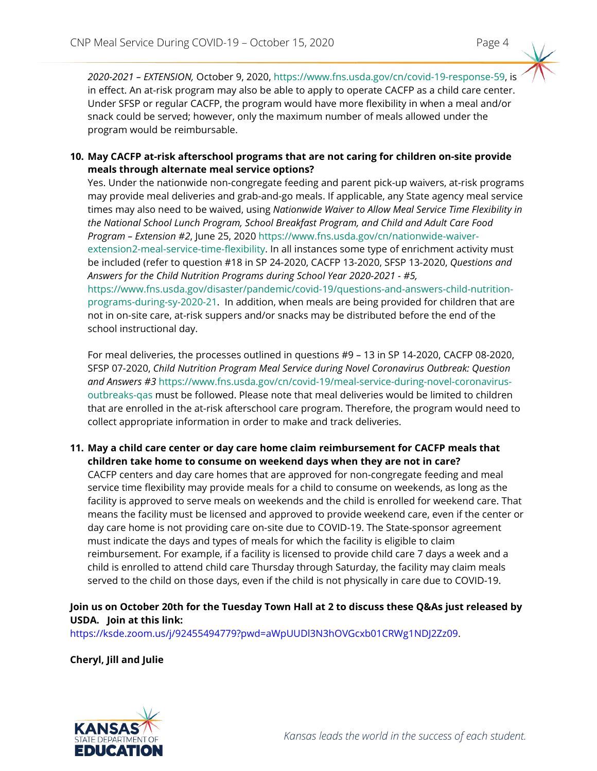*2020-2021 – EXTENSION,* October 9, 2020, [https://www.fns.usda.gov/cn/covid-19-response-59,](https://partnerweb.usda.gov/sites/CNP/cndpolicy2/ProgramsLibrary2014/%20https:/www.fns.usda.gov/cn/covid-19-response-59) is in effect. An at-risk program may also be able to apply to operate CACFP as a child care center. Under SFSP or regular CACFP, the program would have more flexibility in when a meal and/or snack could be served; however, only the maximum number of meals allowed under the program would be reimbursable.

#### **10. May CACFP at-risk afterschool programs that are not caring for children on-site provide meals through alternate meal service options?**

Yes. Under the nationwide non-congregate feeding and parent pick-up waivers, at-risk programs may provide meal deliveries and grab-and-go meals. If applicable, any State agency meal service times may also need to be waived, using *Nationwide Waiver to Allow Meal Service Time Flexibility in the National School Lunch Program, School Breakfast Program, and Child and Adult Care Food Program – Extension #2*, June 25, 2020 [https://www.fns.usda.gov/cn/nationwide-waiver](https://www.fns.usda.gov/cn/nationwide-waiver-extension2-meal-service-time-flexibility)[extension2-meal-service-time-flexibility.](https://www.fns.usda.gov/cn/nationwide-waiver-extension2-meal-service-time-flexibility) In all instances some type of enrichment activity must be included (refer to question #18 in SP 24-2020, CACFP 13-2020, SFSP 13-2020, *Questions and Answers for the Child Nutrition Programs during School Year 2020-2021 - #5[,](https://partnerweb.usda.gov/sites/CNP/cndpolicy2/ProgramsLibrary2014/%20https:/www.fns.usda.gov/disaster/pandemic/covid-19/questions-and-answers-child-nutrition-programs-during-sy-2020-21)* [https://www.fns.usda.gov/disaster/pandemic/covid-19/questions-and-answers-child-nutrition](https://partnerweb.usda.gov/sites/CNP/cndpolicy2/ProgramsLibrary2014/%20https:/www.fns.usda.gov/disaster/pandemic/covid-19/questions-and-answers-child-nutrition-programs-during-sy-2020-21)[programs-during-sy-2020-21.](https://partnerweb.usda.gov/sites/CNP/cndpolicy2/ProgramsLibrary2014/%20https:/www.fns.usda.gov/disaster/pandemic/covid-19/questions-and-answers-child-nutrition-programs-during-sy-2020-21) In addition, when meals are being provided for children that are not in on-site care, at-risk suppers and/or snacks may be distributed before the end of the school instructional day.

For meal deliveries, the processes outlined in questions #9 – 13 in SP 14-2020, CACFP 08-2020, SFSP 07-2020, *Child Nutrition Program Meal Service during Novel Coronavirus Outbreak: Question and Answers #3* [https://www.fns.usda.gov/cn/covid-19/meal-service-during-novel-coronavirus](https://www.fns.usda.gov/cn/covid-19/meal-service-during-novel-coronavirus-outbreaks-qas)[outbreaks-qas](https://www.fns.usda.gov/cn/covid-19/meal-service-during-novel-coronavirus-outbreaks-qas) must be followed. Please note that meal deliveries would be limited to children that are enrolled in the at-risk afterschool care program. Therefore, the program would need to collect appropriate information in order to make and track deliveries.

### **11. May a child care center or day care home claim reimbursement for CACFP meals that children take home to consume on weekend days when they are not in care?**

CACFP centers and day care homes that are approved for non-congregate feeding and meal service time flexibility may provide meals for a child to consume on weekends, as long as the facility is approved to serve meals on weekends and the child is enrolled for weekend care. That means the facility must be licensed and approved to provide weekend care, even if the center or day care home is not providing care on-site due to COVID-19. The State-sponsor agreement must indicate the days and types of meals for which the facility is eligible to claim reimbursement. For example, if a facility is licensed to provide child care 7 days a week and a child is enrolled to attend child care Thursday through Saturday, the facility may claim meals served to the child on those days, even if the child is not physically in care due to COVID-19.

## **Join us on October 20th for the Tuesday Town Hall at 2 to discuss these Q&As just released by USDA. Join at this link:**

[https://ksde.zoom.us/j/92455494779?pwd=aWpUUDl3N3hOVGcxb01CRWg1NDJ2Zz09.](https://ksde.zoom.us/j/92455494779?pwd=aWpUUDl3N3hOVGcxb01CRWg1NDJ2Zz09)

**Cheryl, Jill and Julie**